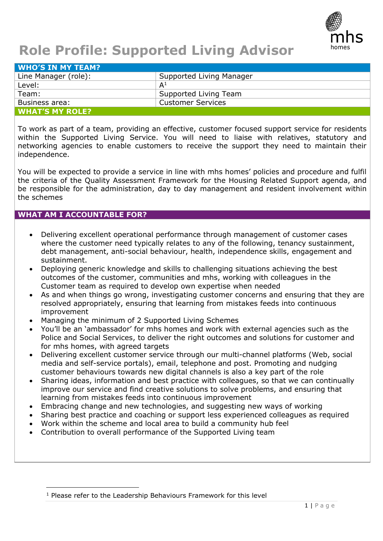

# **Role Profile: Supported Living Advisor**

| <b>WHO'S IN MY TEAM?</b> |                          |
|--------------------------|--------------------------|
| Line Manager (role):     | Supported Living Manager |
| Level:                   | $\mathsf{A}^1$           |
| Team:                    | Supported Living Team    |
| Business area:           | <b>Customer Services</b> |
| <b>WHAT'S MY ROLE?</b>   |                          |

To work as part of a team, providing an effective, customer focused support service for residents within the Supported Living Service. You will need to liaise with relatives, statutory and networking agencies to enable customers to receive the support they need to maintain their independence.

You will be expected to provide a service in line with mhs homes' policies and procedure and fulfil the criteria of the Quality Assessment Framework for the Housing Related Support agenda, and be responsible for the administration, day to day management and resident involvement within the schemes

#### **WHAT AM I ACCOUNTABLE FOR?**

- Delivering excellent operational performance through management of customer cases where the customer need typically relates to any of the following, tenancy sustainment, debt management, anti-social behaviour, health, independence skills, engagement and sustainment.
- Deploying generic knowledge and skills to challenging situations achieving the best outcomes of the customer, communities and mhs, working with colleagues in the Customer team as required to develop own expertise when needed
- As and when things go wrong, investigating customer concerns and ensuring that they are resolved appropriately, ensuring that learning from mistakes feeds into continuous improvement
- Managing the minimum of 2 Supported Living Schemes
- You'll be an 'ambassador' for mhs homes and work with external agencies such as the Police and Social Services, to deliver the right outcomes and solutions for customer and for mhs homes, with agreed targets
- Delivering excellent customer service through our multi-channel platforms (Web, social media and self-service portals), email, telephone and post. Promoting and nudging customer behaviours towards new digital channels is also a key part of the role
- Sharing ideas, information and best practice with colleagues, so that we can continually improve our service and find creative solutions to solve problems, and ensuring that learning from mistakes feeds into continuous improvement
- Embracing change and new technologies, and suggesting new ways of working
- Sharing best practice and coaching or support less experienced colleagues as required
- Work within the scheme and local area to build a community hub feel
- Contribution to overall performance of the Supported Living team

<sup>&</sup>lt;sup>1</sup> Please refer to the Leadership Behaviours Framework for this level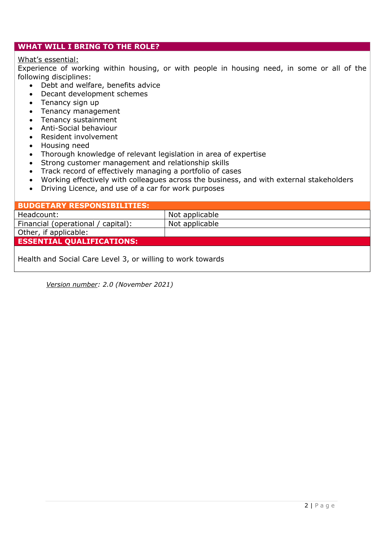## **WHAT WILL I BRING TO THE ROLE?**

#### What's essential:

Experience of working within housing, or with people in housing need, in some or all of the following disciplines:

- Debt and welfare, benefits advice
- Decant development schemes
- Tenancy sign up
- Tenancy management
- Tenancy sustainment
- Anti-Social behaviour
- Resident involvement
- Housing need
- Thorough knowledge of relevant legislation in area of expertise
- Strong customer management and relationship skills
- Track record of effectively managing a portfolio of cases
- Working effectively with colleagues across the business, and with external stakeholders
- Driving Licence, and use of a car for work purposes

| <b>BUDGETARY RESPONSIBILITIES:</b>                         |                |  |
|------------------------------------------------------------|----------------|--|
| Headcount:                                                 | Not applicable |  |
| Financial (operational / capital):                         | Not applicable |  |
| Other, if applicable:                                      |                |  |
| <b>ESSENTIAL QUALIFICATIONS:</b>                           |                |  |
|                                                            |                |  |
| Health and Social Care Level 3, or willing to work towards |                |  |

*Version number: 2.0 (November 2021)*